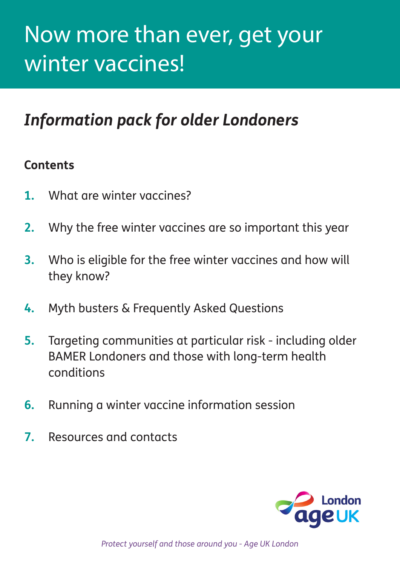# Now more than ever, get your winter vaccines!

# *Information pack for older Londoners*

### **Contents**

- **1.** What are winter vaccines?
- **2.** Why the free winter vaccines are so important this year
- **3.** Who is eligible for the free winter vaccines and how will they know?
- **4.** Myth busters & Frequently Asked Questions
- **5.** Targeting communities at particular risk including older BAMER Londoners and those with long-term health conditions
- **6.** Running a winter vaccine information session
- **7.** Resources and contacts



*Protect yourself and those around you - Age UK London*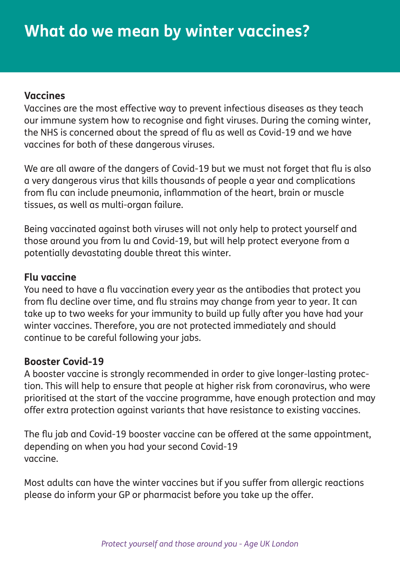#### **Vaccines**

Vaccines are the most effective way to prevent infectious diseases as they teach our immune system how to recognise and fight viruses. During the coming winter, the NHS is concerned about the spread of flu as well as Covid-19 and we have vaccines for both of these dangerous viruses.

We are all aware of the dangers of Covid-19 but we must not forget that flu is also a very dangerous virus that kills thousands of people a year and complications from flu can include pneumonia, inflammation of the heart, brain or muscle tissues, as well as multi-organ failure.

Being vaccinated against both viruses will not only help to protect yourself and those around you from lu and Covid-19, but will help protect everyone from a potentially devastating double threat this winter.

#### **Flu vaccine**

You need to have a flu vaccination every year as the antibodies that protect you from flu decline over time, and flu strains may change from year to year. It can take up to two weeks for your immunity to build up fully after you have had your winter vaccines. Therefore, you are not protected immediately and should continue to be careful following your jabs.

#### **Booster Covid-19**

A booster vaccine is strongly recommended in order to give longer-lasting protection. This will help to ensure that people at higher risk from coronavirus, who were prioritised at the start of the vaccine programme, have enough protection and may offer extra protection against variants that have resistance to existing vaccines.

The flu jab and Covid-19 booster vaccine can be offered at the same appointment, depending on when you had your second Covid-19 vaccine.

Most adults can have the winter vaccines but if you suffer from allergic reactions please do inform your GP or pharmacist before you take up the offer.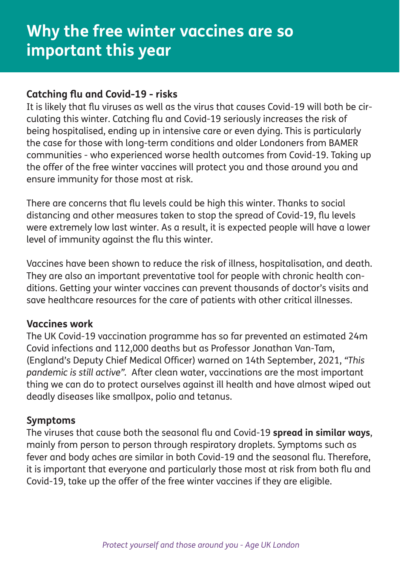#### **Catching flu and Covid-19 - risks**

It is likely that flu viruses as well as the virus that causes Covid-19 will both be circulating this winter. Catching flu and Covid-19 seriously increases the risk of being hospitalised, ending up in intensive care or even dying. This is particularly the case for those with long-term conditions and older Londoners from BAMER communities - who experienced worse health outcomes from Covid-19. Taking up the offer of the free winter vaccines will protect you and those around you and ensure immunity for those most at risk.

There are concerns that flu levels could be high this winter. Thanks to social distancing and other measures taken to stop the spread of Covid-19, flu levels were extremely low last winter. As a result, it is expected people will have a lower level of immunity against the flu this winter.

Vaccines have been shown to reduce the risk of illness, hospitalisation, and death. They are also an important preventative tool for people with chronic health conditions. Getting your winter vaccines can prevent thousands of doctor's visits and save healthcare resources for the care of patients with other critical illnesses.

#### **Vaccines work**

The UK Covid-19 vaccination programme has so far prevented an estimated 24m Covid infections and 112,000 deaths but as Professor Jonathan Van-Tam, (England's Deputy Chief Medical Officer) warned on 14th September, 2021, *"This pandemic is still active".* After clean water, vaccinations are the most important thing we can do to protect ourselves against ill health and have almost wiped out deadly diseases like smallpox, polio and tetanus.

#### **Symptoms**

The viruses that cause both the seasonal flu and Covid-19 **spread in similar ways**, mainly from person to person through respiratory droplets. Symptoms such as fever and body aches are similar in both Covid-19 and the seasonal flu. Therefore, it is important that everyone and particularly those most at risk from both flu and Covid-19, take up the offer of the free winter vaccines if they are eligible.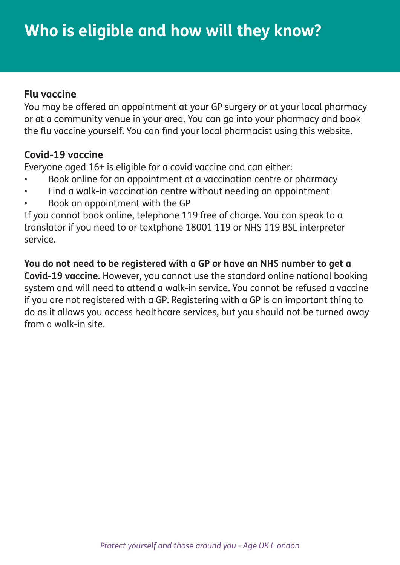#### **Flu vaccine**

You may be offered an appointment at your GP surgery or at your local pharmacy or at a community venue in your area. You can go into your pharmacy and book the flu vaccine yourself. You can find your local pharmacist using this website.

#### **Covid-19 vaccine**

Everyone aged 16+ is eligible for a covid vaccine and can either:

- Book online for an appointment at a vaccination centre or pharmacy
- Find a walk-in vaccination centre without needing an appointment
- Book an appointment with the GP

If you cannot book online, telephone 119 free of charge. You can speak to a translator if you need to or textphone 18001 119 or NHS 119 BSL interpreter service.

**You do not need to be registered with a GP or have an NHS number to get a Covid-19 vaccine.** However, you cannot use the standard online national booking system and will need to attend a walk-in service. You cannot be refused a vaccine if you are not registered with a GP. Registering with a GP is an important thing to do as it allows you access healthcare services, but you should not be turned away from a walk-in site.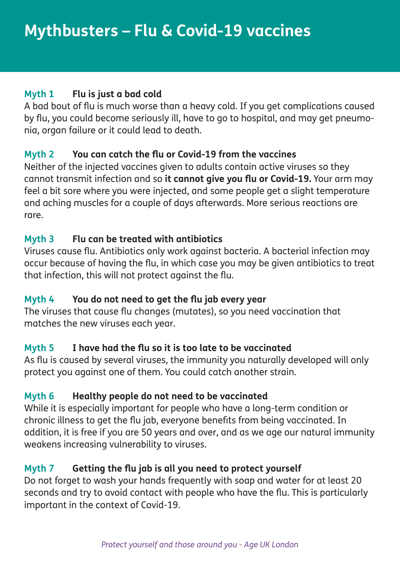#### **Myth 1 Flu is just a bad cold**

A bad bout of flu is much worse than a heavy cold. If you get complications caused by flu, you could become seriously ill, have to go to hospital, and may get pneumonia, organ failure or it could lead to death.

#### **Myth 2 You can catch the flu or Covid-19 from the vaccines**

Neither of the injected vaccines given to adults contain active viruses so they cannot transmit infection and so **it cannot give you flu or Covid-19.** Your arm may feel a bit sore where you were injected, and some people get a slight temperature and aching muscles for a couple of days afterwards. More serious reactions are rare.

#### **Myth 3 Flu can be treated with antibiotics**

Viruses cause flu. Antibiotics only work against bacteria. A bacterial infection may occur because of having the flu, in which case you may be given antibiotics to treat that infection, this will not protect against the flu.

#### **Myth 4 You do not need to get the flu jab every year**

The viruses that cause flu changes (mutates), so you need vaccination that matches the new viruses each year.

#### **Myth 5 I have had the flu so it is too late to be vaccinated**

As flu is caused by several viruses, the immunity you naturally developed will only protect you against one of them. You could catch another strain.

#### **Myth 6 Healthy people do not need to be vaccinated**

While it is especially important for people who have a long-term condition or chronic illness to get the flu jab, everyone benefits from being vaccinated. In addition, it is free if you are 50 years and over, and as we age our natural immunity weakens increasing vulnerability to viruses.

#### **Myth 7 Getting the flu jab is all you need to protect yourself**

Do not forget to wash your hands frequently with soap and water for at least 20 seconds and try to avoid contact with people who have the flu. This is particularly important in the context of Covid-19.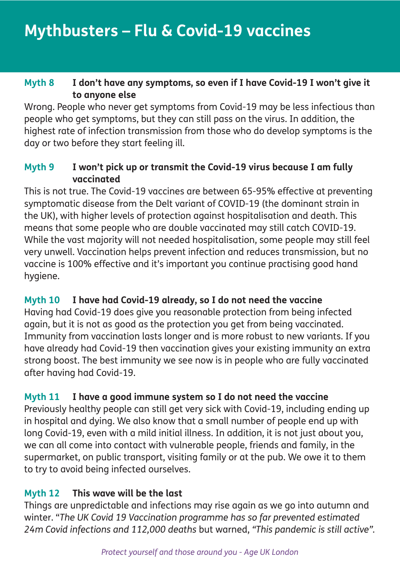#### **Myth 8 I don't have any symptoms, so even if I have Covid-19 I won't give it to anyone else**

Wrong. People who never get symptoms from Covid-19 may be less infectious than people who get symptoms, but they can still pass on the virus. In addition, the highest rate of infection transmission from those who do develop symptoms is the day or two before they start feeling ill.

#### **Myth 9 I won't pick up or transmit the Covid-19 virus because I am fully vaccinated**

This is not true. The Covid-19 vaccines are between 65-95% effective at preventing symptomatic disease from the Delt variant of COVID-19 (the dominant strain in the UK), with higher levels of protection against hospitalisation and death. This means that some people who are double vaccinated may still catch COVID-19. While the vast majority will not needed hospitalisation, some people may still feel very unwell. Vaccination helps prevent infection and reduces transmission, but no vaccine is 100% effective and it's important you continue practising good hand hygiene.

#### **Myth 10 I have had Covid-19 already, so I do not need the vaccine**

Having had Covid-19 does give you reasonable protection from being infected again, but it is not as good as the protection you get from being vaccinated. Immunity from vaccination lasts longer and is more robust to new variants. If you have already had Covid-19 then vaccination gives your existing immunity an extra strong boost. The best immunity we see now is in people who are fully vaccinated after having had Covid-19.

#### **Myth 11 I have a good immune system so I do not need the vaccine**

Previously healthy people can still get very sick with Covid-19, including ending up in hospital and dying. We also know that a small number of people end up with long Covid-19, even with a mild initial illness. In addition, it is not just about you, we can all come into contact with vulnerable people, friends and family, in the supermarket, on public transport, visiting family or at the pub. We owe it to them to try to avoid being infected ourselves.

#### **Myth 12 This wave will be the last**

Things are unpredictable and infections may rise again as we go into autumn and winter. "*The UK Covid 19 Vaccination programme has so far prevented estimated 24m Covid infections and 112,000 deaths* but warned, *"This pandemic is still active".*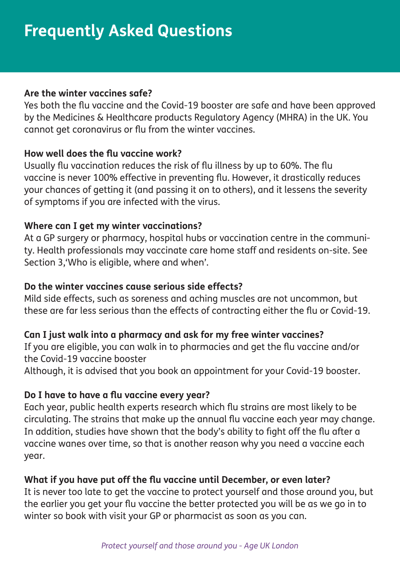#### **Are the winter vaccines safe?**

Yes both the flu vaccine and the Covid-19 booster are safe and have been approved by the Medicines & Healthcare products Regulatory Agency (MHRA) in the UK. You cannot get coronavirus or flu from the winter vaccines.

#### **How well does the flu vaccine work?**

Usually flu vaccination reduces the risk of flu illness by up to 60%. The flu vaccine is never 100% effective in preventing flu. However, it drastically reduces your chances of getting it (and passing it on to others), and it lessens the severity of symptoms if you are infected with the virus.

#### **Where can I get my winter vaccinations?**

At a GP surgery or pharmacy, hospital hubs or vaccination centre in the community. Health professionals may vaccinate care home staff and residents on-site. See Section 3,'Who is eligible, where and when'.

#### **Do the winter vaccines cause serious side effects?**

Mild side effects, such as soreness and aching muscles are not uncommon, but these are far less serious than the effects of contracting either the flu or Covid-19.

#### **Can I just walk into a pharmacy and ask for my free winter vaccines?**

If you are eligible, you can walk in to pharmacies and get the flu vaccine and/or the Covid-19 vaccine booster

Although, it is advised that you book an appointment for your Covid-19 booster.

#### **Do I have to have a flu vaccine every year?**

Each year, public health experts research which flu strains are most likely to be circulating. The strains that make up the annual flu vaccine each year may change. In addition, studies have shown that the body's ability to fight off the flu after a vaccine wanes over time, so that is another reason why you need a vaccine each year.

#### **What if you have put off the flu vaccine until December, or even later?**

It is never too late to get the vaccine to protect yourself and those around you, but the earlier you get your flu vaccine the better protected you will be as we go in to winter so book with visit your GP or pharmacist as soon as you can.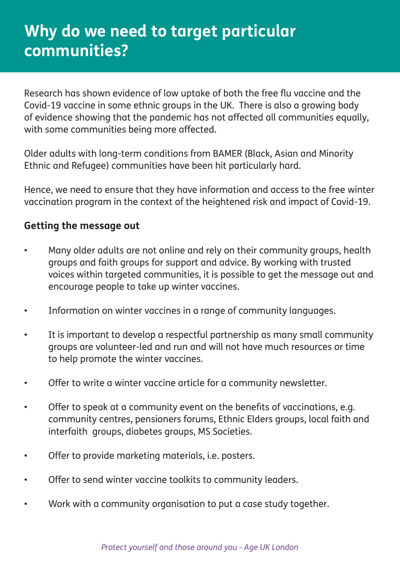## **Why do we need to target particular communities?**

Research has shown evidence of low uptake of both the free flu vaccine and the Covid-19 vaccine in some ethnic groups in the UK. There is also a growing body of evidence showing that the pandemic has not affected all communities equally, with some communities being more affected.

Older adults with long-term conditions from BAMER (Black, Asian and Minority Ethnic and Refugee) communities have been hit particularly hard.

Hence, we need to ensure that they have information and access to the free winter vaccination program in the context of the heightened risk and impact of Covid-19.

#### **Getting the message out**

- Many older adults are not online and rely on their community groups, health groups and faith groups for support and advice. By working with trusted voices within targeted communities, it is possible to get the message out and encourage people to take up winter vaccines.
- Information on winter vaccines in a range of community languages.
- It is important to develop a respectful partnership as many small community groups are volunteer-led and run and will not have much resources or time to help promote the winter vaccines.
- Offer to write a winter vaccine article for a community newsletter.
- Offer to speak at a community event on the benefits of vaccinations, e.g. community centres, pensioners forums, Ethnic Elders groups, local faith and interfaith groups, diabetes groups, MS Societies.
- Offer to provide marketing materials, i.e. posters.
- Offer to send winter vaccine toolkits to community leaders.
- Work with a community organisation to put a case study together.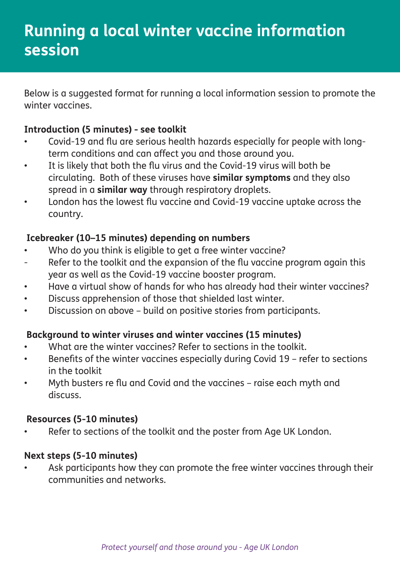Below is a suggested format for running a local information session to promote the winter vaccines.

#### **Introduction (5 minutes) - see toolkit**

- Covid-19 and flu are serious health hazards especially for people with longterm conditions and can affect you and those around you.
- It is likely that both the flu virus and the Covid-19 virus will both be circulating. Both of these viruses have **similar symptoms** and they also spread in a **similar way** through respiratory droplets.
- London has the lowest flu vaccine and Covid-19 vaccine uptake across the country.

#### **Icebreaker (10–15 minutes) depending on numbers**

- Who do you think is eligible to get a free winter vaccine?
- Refer to the toolkit and the expansion of the flu vaccine program again this year as well as the Covid-19 vaccine booster program.
- Have a virtual show of hands for who has already had their winter vaccines?
- Discuss apprehension of those that shielded last winter.
- Discussion on above build on positive stories from participants.

#### **Background to winter viruses and winter vaccines (15 minutes)**

- What are the winter vaccines? Refer to sections in the toolkit.
- Benefits of the winter vaccines especially during Covid 19 refer to sections in the toolkit
- Myth busters re flu and Covid and the vaccines raise each myth and discuss.

#### **Resources (5-10 minutes)**

Refer to sections of the toolkit and the poster from Age UK London.

#### **Next steps (5-10 minutes)**

Ask participants how they can promote the free winter vaccines through their communities and networks.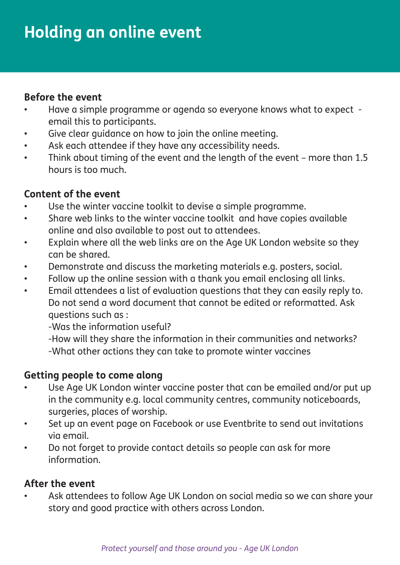#### **Before the event**

- Have a simple programme or agenda so everyone knows what to expect email this to participants.
- Give clear guidance on how to join the online meeting.
- Ask each attendee if they have any accessibility needs.
- Think about timing of the event and the length of the event more than 1.5 hours is too much.

#### **Content of the event**

- Use the winter vaccine toolkit to devise a simple programme.
- Share web links to the winter vaccine toolkit and have copies available online and also available to post out to attendees.
- Explain where all the web links are on the Age UK London website so they can be shared.
- Demonstrate and discuss the marketing materials e.g. posters, social.
- Follow up the online session with a thank you email enclosing all links.
- Email attendees a list of evaluation questions that they can easily reply to. Do not send a word document that cannot be edited or reformatted. Ask questions such as :

-Was the information useful?

-How will they share the information in their communities and networks? -What other actions they can take to promote winter vaccines

#### **Getting people to come along**

- Use Age UK London winter vaccine poster that can be emailed and/or put up in the community e.g. local community centres, community noticeboards, surgeries, places of worship.
- Set up an event page on Facebook or use Eventbrite to send out invitations via email.
- Do not forget to provide contact details so people can ask for more information.

#### **After the event**

• Ask attendees to follow Age UK London on social media so we can share your story and good practice with others across London.